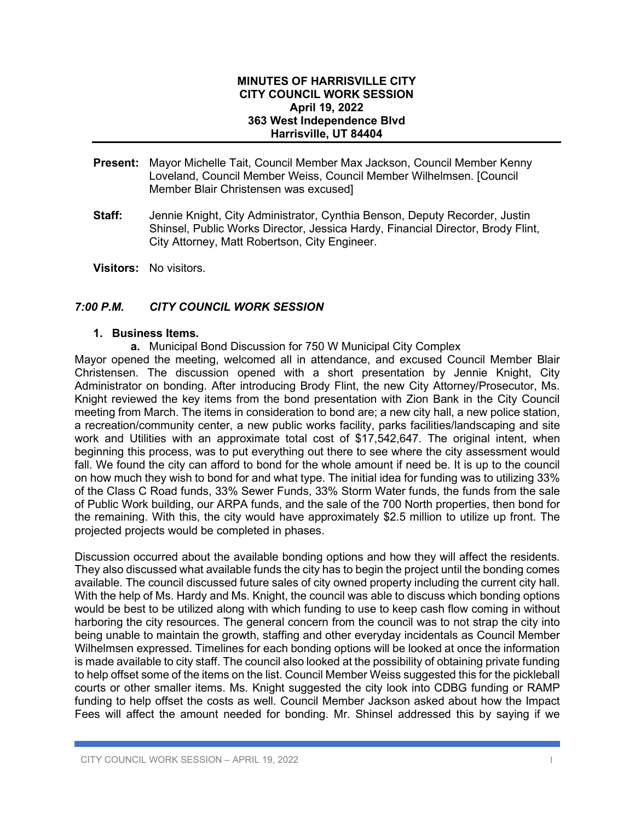## **MINUTES OF HARRISVILLE CITY CITY COUNCIL WORK SESSION April 19, 2022 363 West Independence Blvd Harrisville, UT 84404**

- **Present:** Mayor Michelle Tait, Council Member Max Jackson, Council Member Kenny Loveland, Council Member Weiss, Council Member Wilhelmsen. [Council Member Blair Christensen was excused]
- **Staff:** Jennie Knight, City Administrator, Cynthia Benson, Deputy Recorder, Justin Shinsel, Public Works Director, Jessica Hardy, Financial Director, Brody Flint, City Attorney, Matt Robertson, City Engineer.
- **Visitors:** No visitors.

## *7:00 P.M. CITY COUNCIL WORK SESSION*

## **1. Business Items.**

**a.** Municipal Bond Discussion for 750 W Municipal City Complex

Mayor opened the meeting, welcomed all in attendance, and excused Council Member Blair Christensen. The discussion opened with a short presentation by Jennie Knight, City Administrator on bonding. After introducing Brody Flint, the new City Attorney/Prosecutor, Ms. Knight reviewed the key items from the bond presentation with Zion Bank in the City Council meeting from March. The items in consideration to bond are; a new city hall, a new police station, a recreation/community center, a new public works facility, parks facilities/landscaping and site work and Utilities with an approximate total cost of \$17,542,647. The original intent, when beginning this process, was to put everything out there to see where the city assessment would fall. We found the city can afford to bond for the whole amount if need be. It is up to the council on how much they wish to bond for and what type. The initial idea for funding was to utilizing 33% of the Class C Road funds, 33% Sewer Funds, 33% Storm Water funds, the funds from the sale of Public Work building, our ARPA funds, and the sale of the 700 North properties, then bond for the remaining. With this, the city would have approximately \$2.5 million to utilize up front. The projected projects would be completed in phases.

Discussion occurred about the available bonding options and how they will affect the residents. They also discussed what available funds the city has to begin the project until the bonding comes available. The council discussed future sales of city owned property including the current city hall. With the help of Ms. Hardy and Ms. Knight, the council was able to discuss which bonding options would be best to be utilized along with which funding to use to keep cash flow coming in without harboring the city resources. The general concern from the council was to not strap the city into being unable to maintain the growth, staffing and other everyday incidentals as Council Member Wilhelmsen expressed. Timelines for each bonding options will be looked at once the information is made available to city staff. The council also looked at the possibility of obtaining private funding to help offset some of the items on the list. Council Member Weiss suggested this for the pickleball courts or other smaller items. Ms. Knight suggested the city look into CDBG funding or RAMP funding to help offset the costs as well. Council Member Jackson asked about how the Impact Fees will affect the amount needed for bonding. Mr. Shinsel addressed this by saying if we